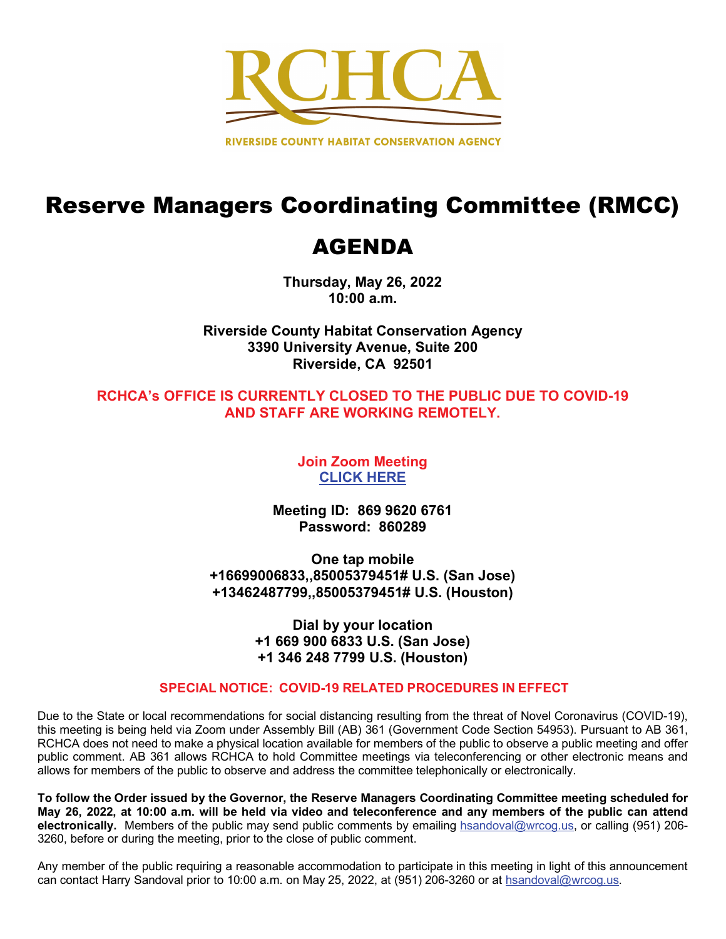

# Reserve Managers Coordinating Committee (RMCC)

# AGENDA

**Thursday, May 26, 2022 10:00 a.m.**

**Riverside County Habitat Conservation Agency 3390 University Avenue, Suite 200 Riverside, CA 92501**

## **RCHCA's OFFICE IS CURRENTLY CLOSED TO THE PUBLIC DUE TO COVID-19 AND STAFF ARE WORKING REMOTELY.**

**Join Zoom Meeting [CLICK HERE](https://us02web.zoom.us/j/86996206761?pwd=ZmhHMk1kODN0UjB4RExmbnpnU25xZz09)**

**Meeting ID: 869 9620 6761 Password: 860289**

**One tap mobile +16699006833,,85005379451# U.S. (San Jose) +13462487799,,85005379451# U.S. (Houston)**

> **Dial by your location +1 669 900 6833 U.S. (San Jose) +1 346 248 7799 U.S. (Houston)**

## **SPECIAL NOTICE: COVID-19 RELATED PROCEDURES IN EFFECT**

Due to the State or local recommendations for social distancing resulting from the threat of Novel Coronavirus (COVID-19), this meeting is being held via Zoom under Assembly Bill (AB) 361 (Government Code Section 54953). Pursuant to AB 361, RCHCA does not need to make a physical location available for members of the public to observe a public meeting and offer public comment. AB 361 allows RCHCA to hold Committee meetings via teleconferencing or other electronic means and allows for members of the public to observe and address the committee telephonically or electronically.

**To follow the Order issued by the Governor, the Reserve Managers Coordinating Committee meeting scheduled for May 26, 2022, at 10:00 a.m. will be held via video and teleconference and any members of the public can attend electronically.** Members of the public may send public comments by emailing hsandoval@wrcog.us, or calling (951) 206- 3260, before or during the meeting, prior to the close of public comment.

Any member of the public requiring a reasonable accommodation to participate in this meeting in light of this announcement can contact Harry Sandoval prior to 10:00 a.m. on May 25, 2022, at (951) 206-3260 or at hsandoval@wrcog.us.